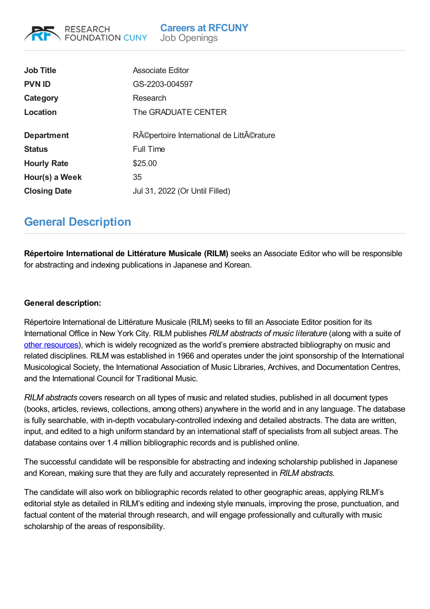| <b>Job Title</b>    | Associate Editor                        |
|---------------------|-----------------------------------------|
| <b>PVN ID</b>       | GS-2203-004597                          |
| Category            | Research                                |
| Location            | The GRADUATE CENTER                     |
|                     |                                         |
| <b>Department</b>   | Répertoire International de Littérature |
| <b>Status</b>       | <b>Full Time</b>                        |
| <b>Hourly Rate</b>  | \$25.00                                 |
| Hour(s) a Week      | 35                                      |
| <b>Closing Date</b> | Jul 31, 2022 (Or Until Filled)          |
|                     |                                         |

## **General Description**

**RESEARCH** 

**FOUNDATION CUNY** 

**Répertoire International de Littérature Musicale (RILM)** seeks an Associate Editor who will be responsible for abstracting and indexing publications in Japanese and Korean.

## **General description:**

Répertoire International de Littérature Musicale (RILM) seeks to fill an Associate Editor position for its International Office in New York City. RILM publishes *RILM abstracts of music literature* (along with a suite of other [resources](http://rilm.org/)), which is widely recognized as the world's premiere abstracted bibliography on music and related disciplines. RILM was established in 1966 and operates under the joint sponsorship of the International Musicological Society, the International Association of Music Libraries, Archives, and Documentation Centres, and the International Council for Traditional Music.

*RILM abstracts* covers research on all types of music and related studies, published in all document types (books, articles, reviews, collections, among others) anywhere in the world and in any language. The database is fully searchable, with in-depth vocabulary-controlled indexing and detailed abstracts. The data are written, input, and edited to a high uniform standard by an international staff of specialists from all subject areas. The database contains over 1.4 million bibliographic records and is published online.

The successful candidate will be responsible for abstracting and indexing scholarship published in Japanese and Korean, making sure that they are fully and accurately represented in *RILM abstracts*.

The candidate will also work on bibliographic records related to other geographic areas, applying RILM's editorial style as detailed in RILM's editing and indexing style manuals, improving the prose, punctuation, and factual content of the material through research, and will engage professionally and culturally with music scholarship of the areas of responsibility.